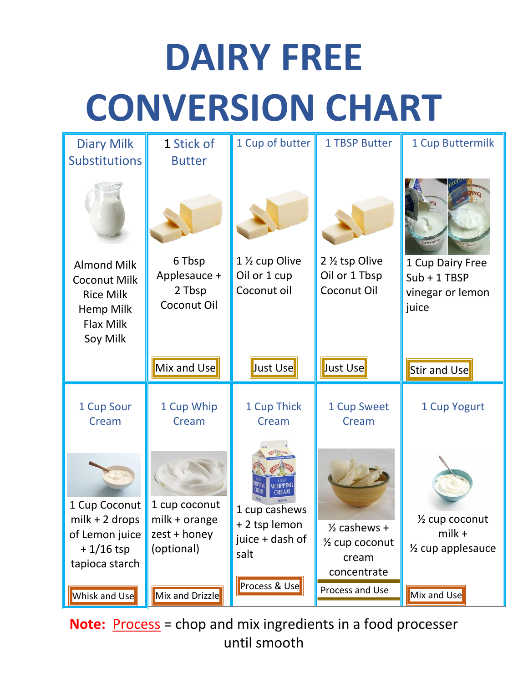## **DAIRY FREE CONVERSION CHART**

| <b>Diary Milk</b><br><b>Substitutions</b>                                                                  | 1 Stick of<br><b>Butter</b>                                  | 1 Cup of butter                                                           | <b>1 TBSP Butter</b>                                                           | 1 Cup Buttermilk                                                           |
|------------------------------------------------------------------------------------------------------------|--------------------------------------------------------------|---------------------------------------------------------------------------|--------------------------------------------------------------------------------|----------------------------------------------------------------------------|
|                                                                                                            |                                                              |                                                                           |                                                                                |                                                                            |
| <b>Almond Milk</b><br><b>Coconut Milk</b><br><b>Rice Milk</b><br>Hemp Milk<br><b>Flax Milk</b><br>Soy Milk | 6 Tbsp<br>Applesauce +<br>2 Tbsp<br>Coconut Oil              | 1 1/2 cup Olive<br>Oil or 1 cup<br>Coconut oil                            | 2 1/2 tsp Olive<br>Oil or 1 Tbsp<br>Coconut Oil                                | 1 Cup Dairy Free<br>$Sub + 1 TBSP$<br>vinegar or lemon<br>juice            |
|                                                                                                            | Mix and Use                                                  | Just Use                                                                  | Just Use                                                                       | Stir and Use                                                               |
| 1 Cup Sour<br>Cream                                                                                        | 1 Cup Whip<br>Cream                                          | 1 Cup Thick<br>Cream                                                      | 1 Cup Sweet<br>Cream                                                           | 1 Cup Yogurt                                                               |
| 1 Cup Coconut<br>$milk + 2 drops$<br>of Lemon juice<br>$+1/16$ tsp<br>tapioca starch                       | 1 cup coconut<br>milk + orange<br>zest + honey<br>(optional) | 1 cup cashews<br>+2 tsp lemon<br>juice + dash of<br>salt<br>Process & Use | $\frac{1}{2}$ cashews +<br>1/ <sub>2</sub> cup coconut<br>cream<br>concentrate | 1/ <sub>2</sub> cup coconut<br>$m$ ilk +<br>1/ <sub>2</sub> cup applesauce |
| <b>Whisk and Use</b>                                                                                       | Mix and Drizzle                                              |                                                                           | Process and Use                                                                | Mix and Use                                                                |

**Note:** Process = chop and mix ingredients in a food processer until smooth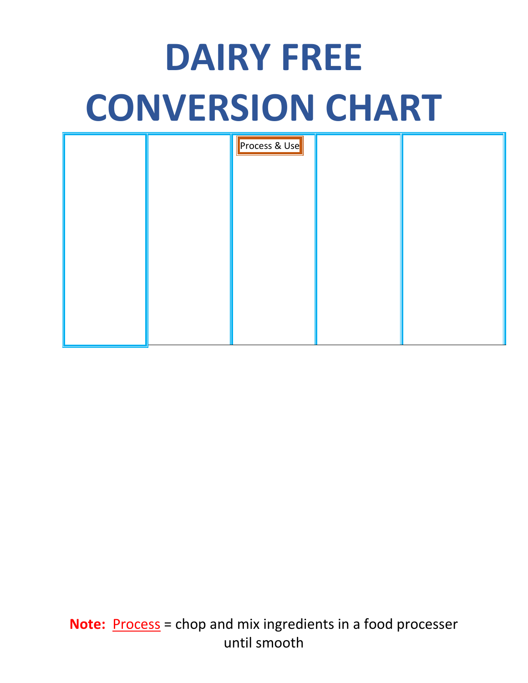## **DAIRY FREE CONVERSION CHART**

|  | Process & Use |  |
|--|---------------|--|
|  |               |  |
|  |               |  |
|  |               |  |
|  |               |  |
|  |               |  |

**Note:** Process = chop and mix ingredients in a food processer until smooth